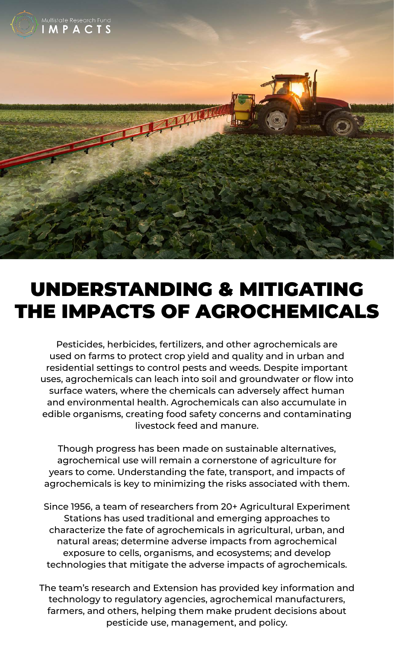

## UNDERSTANDING & MITIGATING THE IMPACTS OF AGROCHEMICALS

Pesticides, herbicides, fertilizers, and other agrochemicals are used on farms to protect crop yield and quality and in urban and residential settings to control pests and weeds. Despite important uses, agrochemicals can leach into soil and groundwater or flow into surface waters, where the chemicals can adversely affect human and environmental health. Agrochemicals can also accumulate in edible organisms, creating food safety concerns and contaminating livestock feed and manure.

Though progress has been made on sustainable alternatives, agrochemical use will remain a cornerstone of agriculture for years to come. Understanding the fate, transport, and impacts of agrochemicals is key to minimizing the risks associated with them.

Since 1956, a team of researchers from 20+ Agricultural Experiment Stations has used traditional and emerging approaches to characterize the fate of agrochemicals in agricultural, urban, and natural areas; determine adverse impacts from agrochemical exposure to cells, organisms, and ecosystems; and develop technologies that mitigate the adverse impacts of agrochemicals.

The team's research and Extension has provided key information and technology to regulatory agencies, agrochemical manufacturers, farmers, and others, helping them make prudent decisions about pesticide use, management, and policy.